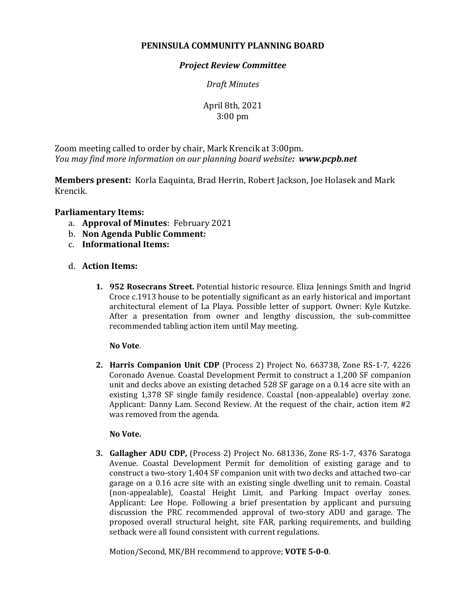# **PENINSULA COMMUNITY PLANNING BOARD**

## *Project Review Committee*

*Draft Minutes*

April 8th, 2021 3:00 pm

Zoom meeting called to order by chair, Mark Krencik at 3:00pm. *You may find more information on our planning board website: www.pcpb.net*

**Members present:** Korla Eaquinta, Brad Herrin, Robert Jackson, Joe Holasek and Mark Krencik.

## **Parliamentary Items:**

- a. **Approval of Minutes**: February 2021
- b. **Non Agenda Public Comment:**
- c. **Informational Items:**
- d. **Action Items:**
	- **1. 952 Rosecrans Street.** Potential historic resource. Eliza Jennings Smith and Ingrid Croce c.1913 house to be potentially significant as an early historical and important architectural element of La Playa. Possible letter of support. Owner: Kyle Kutzke. After a presentation from owner and lengthy discussion, the sub-committee recommended tabling action item until May meeting.

### **No Vote**.

**2. Harris Companion Unit CDP** (Process 2) Project No. 663738, Zone RS-1-7, 4226 Coronado Avenue. Coastal Development Permit to construct a 1,200 SF companion unit and decks above an existing detached 528 SF garage on a 0.14 acre site with an existing 1,378 SF single family residence. Coastal (non-appealable) overlay zone. Applicant: Danny Lam. Second Review. At the request of the chair, action item #2 was removed from the agenda.

### **No Vote.**

**3. Gallagher ADU CDP,** (Process 2) Project No. 681336, Zone RS-1-7, 4376 Saratoga Avenue. Coastal Development Permit for demolition of existing garage and to construct a two-story 1,404 SF companion unit with two decks and attached two-car garage on a 0.16 acre site with an existing single dwelling unit to remain. Coastal (non-appealable), Coastal Height Limit, and Parking Impact overlay zones. Applicant: Lee Hope. Following a brief presentation by applicant and pursuing discussion the PRC recommended approval of two-story ADU and garage. The proposed overall structural height, site FAR, parking requirements, and building setback were all found consistent with current regulations.

Motion/Second, MK/BH recommend to approve; **VOTE 5-0-0**.